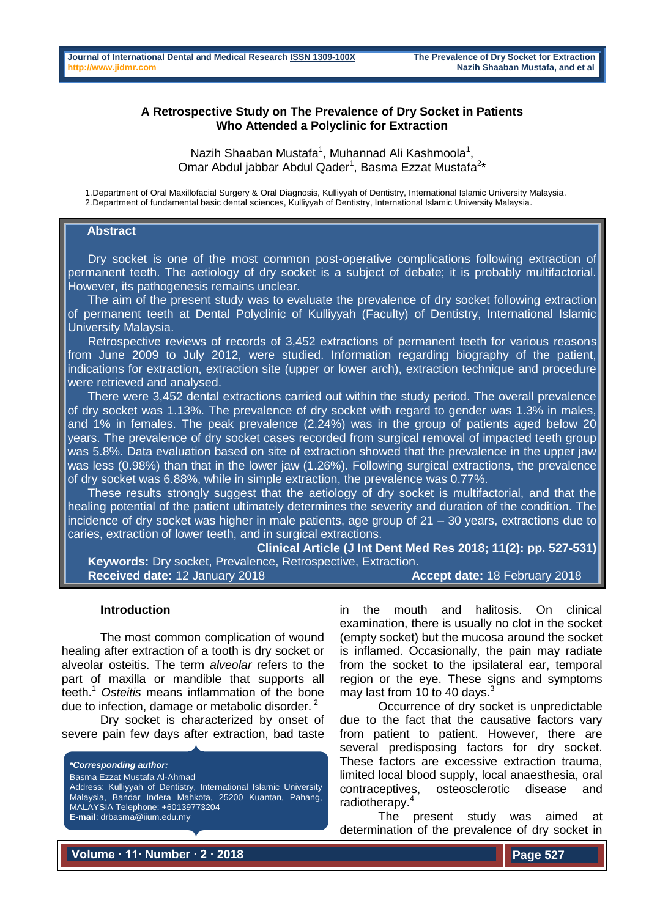## **A Retrospective Study on The Prevalence of Dry Socket in Patients Who Attended a Polyclinic for Extraction**

Nazih Shaaban Mustafa<sup>1</sup>, Muhannad Ali Kashmoola<sup>1</sup>, Omar Abdul jabbar Abdul Qader<sup>1</sup>, Basma Ezzat Mustafa<sup>2\*</sup>

1.Department of Oral Maxillofacial Surgery & Oral Diagnosis, Kulliyyah of Dentistry, International Islamic University Malaysia. 2.Department of fundamental basic dental sciences, Kulliyyah of Dentistry, International Islamic University Malaysia.

#### **Abstract**

 Dry socket is one of the most common post-operative complications following extraction of permanent teeth. The aetiology of dry socket is a subject of debate; it is probably multifactorial. However, its pathogenesis remains unclear.

 The aim of the present study was to evaluate the prevalence of dry socket following extraction of permanent teeth at Dental Polyclinic of Kulliyyah (Faculty) of Dentistry, International Islamic University Malaysia.

 Retrospective reviews of records of 3,452 extractions of permanent teeth for various reasons from June 2009 to July 2012, were studied. Information regarding biography of the patient, indications for extraction, extraction site (upper or lower arch), extraction technique and procedure were retrieved and analysed.

 There were 3,452 dental extractions carried out within the study period. The overall prevalence of dry socket was 1.13%. The prevalence of dry socket with regard to gender was 1.3% in males, and 1% in females. The peak prevalence (2.24%) was in the group of patients aged below 20 years. The prevalence of dry socket cases recorded from surgical removal of impacted teeth group was 5.8%. Data evaluation based on site of extraction showed that the prevalence in the upper jaw was less (0.98%) than that in the lower jaw (1.26%). Following surgical extractions, the prevalence of dry socket was 6.88%, while in simple extraction, the prevalence was 0.77%.

 These results strongly suggest that the aetiology of dry socket is multifactorial, and that the healing potential of the patient ultimately determines the severity and duration of the condition. The incidence of dry socket was higher in male patients, age group of 21 – 30 years, extractions due to caries, extraction of lower teeth, and in surgical extractions.

**Clinical Article (J Int Dent Med Res 2018; 11(2): pp. 527-531) Keywords:** Dry socket, Prevalence, Retrospective, Extraction. **Received date:** 12 January 2018 **Accept date:** 18 February 2018

#### **Introduction**

The most common complication of wound healing after extraction of a tooth is dry socket or alveolar osteitis. The term *alveolar* refers to the part of maxilla or mandible that supports all teeth.<sup>1</sup> *Osteitis* means inflammation of the bone due to infection, damage or metabolic disorder.  $2^2$ 

Dry socket is characterized by onset of severe pain few days after extraction, bad taste

*\*Corresponding author:* Basma Ezzat Mustafa Al-Ahmad Address: Kulliyyah of Dentistry, International Islamic University Malaysia, Bandar Indera Mahkota, 25200 Kuantan, Pahang, MALAYSIA Telephone: +60139773204 **E-mail**: drbasma@iium.edu.my

in the mouth and halitosis. On clinical examination, there is usually no clot in the socket (empty socket) but the mucosa around the socket is inflamed. Occasionally, the pain may radiate from the socket to the ipsilateral ear, temporal region or the eye. These signs and symptoms may last from 10 to 40 days. $\frac{3}{2}$ 

Occurrence of dry socket is unpredictable due to the fact that the causative factors vary from patient to patient. However, there are several predisposing factors for dry socket. These factors are excessive extraction trauma, limited local blood supply, local anaesthesia, oral osteosclerotic disease and radiotherapy.<sup>4</sup>

The present study was aimed at determination of the prevalence of dry socket in

**Volume ∙ 11∙ Number ∙ 2 ∙ 2018**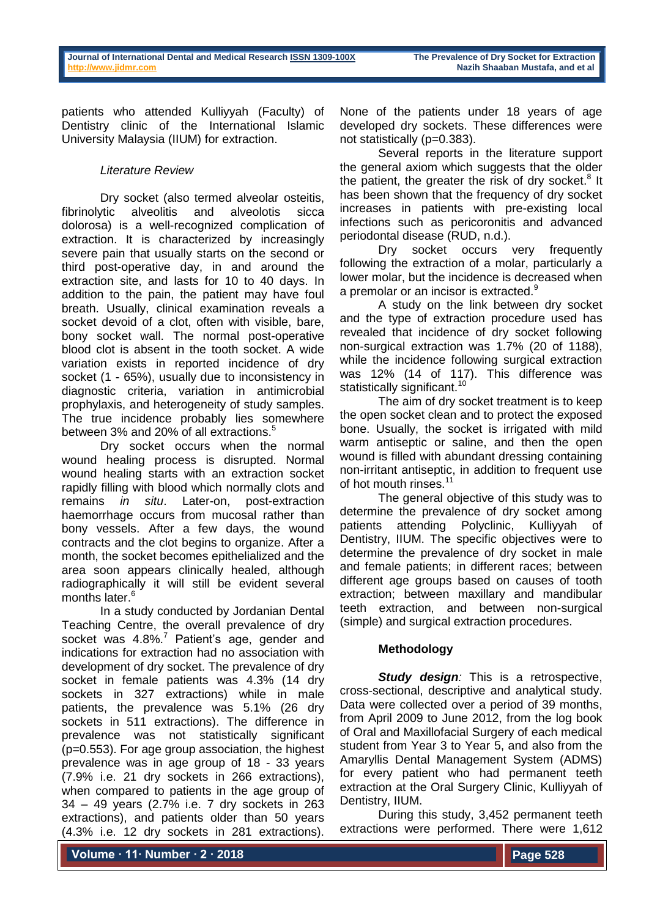patients who attended Kulliyyah (Faculty) of Dentistry clinic of the International Islamic University Malaysia (IIUM) for extraction.

# *Literature Review*

Dry socket (also termed alveolar osteitis, fibrinolytic alveolitis and alveolotis sicca dolorosa) is a well-recognized complication of extraction. It is characterized by increasingly severe pain that usually starts on the second or third post-operative day, in and around the extraction site, and lasts for 10 to 40 days. In addition to the pain, the patient may have foul breath. Usually, clinical examination reveals a socket devoid of a clot, often with visible, bare, bony socket wall. The normal post-operative blood clot is absent in the tooth socket. A wide variation exists in reported incidence of dry socket (1 - 65%), usually due to inconsistency in diagnostic criteria, variation in antimicrobial prophylaxis, and heterogeneity of study samples. The true incidence probably lies somewhere between 3% and 20% of all extractions.<sup>5</sup>

Dry socket occurs when the normal wound healing process is disrupted. Normal wound healing starts with an extraction socket rapidly filling with blood which normally clots and remains *in situ*. Later-on, post-extraction haemorrhage occurs from mucosal rather than bony vessels. After a few days, the wound contracts and the clot begins to organize. After a month, the socket becomes epithelialized and the area soon appears clinically healed, although radiographically it will still be evident several months later.<sup>6</sup>

In a study conducted by Jordanian Dental Teaching Centre, the overall prevalence of dry socket was  $4.8\%$ .<sup>7</sup> Patient's age, gender and indications for extraction had no association with development of dry socket. The prevalence of dry socket in female patients was 4.3% (14 dry sockets in 327 extractions) while in male patients, the prevalence was 5.1% (26 dry sockets in 511 extractions). The difference in prevalence was not statistically significant (p=0.553). For age group association, the highest prevalence was in age group of 18 - 33 years (7.9% i.e. 21 dry sockets in 266 extractions), when compared to patients in the age group of 34 – 49 years (2.7% i.e. 7 dry sockets in 263 extractions), and patients older than 50 years (4.3% i.e. 12 dry sockets in 281 extractions).

None of the patients under 18 years of age developed dry sockets. These differences were not statistically (p=0.383).

Several reports in the literature support the general axiom which suggests that the older the patient, the greater the risk of dry socket. $8$  It has been shown that the frequency of dry socket increases in patients with pre-existing local infections such as pericoronitis and advanced periodontal disease (RUD, n.d.).

Dry socket occurs very frequently following the extraction of a molar, particularly a lower molar, but the incidence is decreased when a premolar or an incisor is extracted.<sup>9</sup>

A study on the link between dry socket and the type of extraction procedure used has revealed that incidence of dry socket following non-surgical extraction was 1.7% (20 of 1188), while the incidence following surgical extraction was 12% (14 of 117). This difference was statistically significant.<sup>10</sup>

The aim of dry socket treatment is to keep the open socket clean and to protect the exposed bone. Usually, the socket is irrigated with mild warm antiseptic or saline, and then the open wound is filled with abundant dressing containing non-irritant antiseptic, in addition to frequent use of hot mouth rinses.<sup>11</sup>

The general objective of this study was to determine the prevalence of dry socket among patients attending Polyclinic, Kulliyyah of Dentistry, IIUM. The specific objectives were to determine the prevalence of dry socket in male and female patients; in different races; between different age groups based on causes of tooth extraction; between maxillary and mandibular teeth extraction, and between non-surgical (simple) and surgical extraction procedures.

## **Methodology**

*Study design:* This is a retrospective, cross-sectional, descriptive and analytical study. Data were collected over a period of 39 months, from April 2009 to June 2012, from the log book of Oral and Maxillofacial Surgery of each medical student from Year 3 to Year 5, and also from the Amaryllis Dental Management System (ADMS) for every patient who had permanent teeth extraction at the Oral Surgery Clinic, Kulliyyah of Dentistry, IIUM.

During this study, 3,452 permanent teeth extractions were performed. There were 1,612

**Volume ∙ 11∙ Number ∙ 2 ∙ 2018**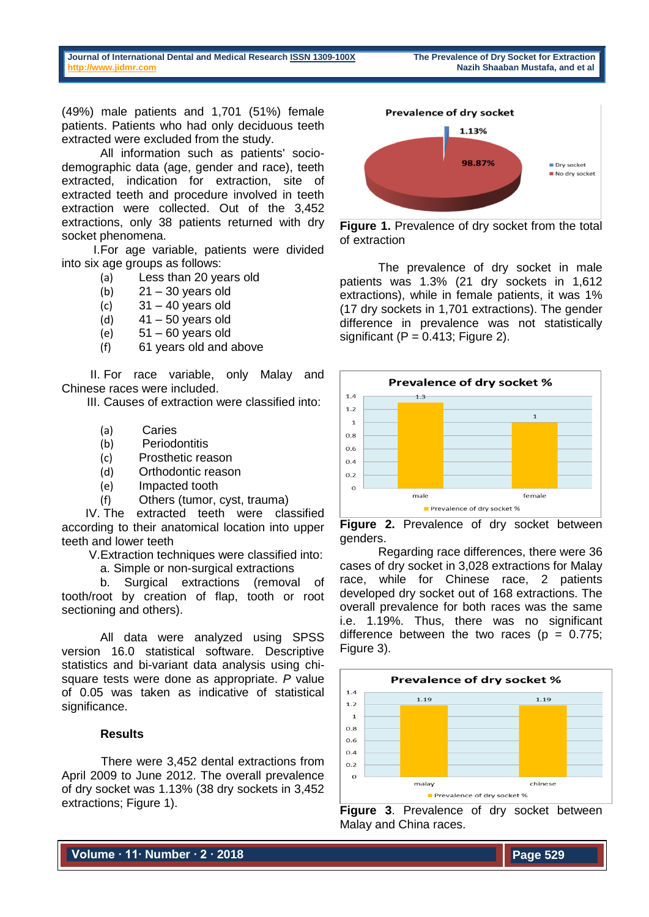**Journal of International Dental and Medical Researc[h ISSN 1309-100X](http://www.ektodermaldisplazi.com/dergi.htm) The Prevalence of Dry Socket for Extraction [http://www.jidmr.com](http://www.jidmr.com/) Nazih Shaaban Mustafa, and et al**

(49%) male patients and 1,701 (51%) female patients. Patients who had only deciduous teeth extracted were excluded from the study.

All information such as patients' sociodemographic data (age, gender and race), teeth extracted, indication for extraction, site of extracted teeth and procedure involved in teeth extraction were collected. Out of the 3,452 extractions, only 38 patients returned with dry socket phenomena.

I.For age variable, patients were divided into six age groups as follows:

- (a) Less than 20 years old
- (b)  $21 30$  years old
- (c) 31 40 years old
- (d)  $41 50$  years old
- $(e)$  51 60 years old
- (f) 61 years old and above

II. For race variable, only Malay and Chinese races were included.

III. Causes of extraction were classified into:

- (a) Caries
- (b) Periodontitis
- (c) Prosthetic reason
- (d) Orthodontic reason
- (e) Impacted tooth
- (f) Others (tumor, cyst, trauma)

IV. The extracted teeth were classified according to their anatomical location into upper teeth and lower teeth

V.Extraction techniques were classified into:

a. Simple or non-surgical extractions

b. Surgical extractions (removal of tooth/root by creation of flap, tooth or root sectioning and others).

All data were analyzed using SPSS version 16.0 statistical software. Descriptive statistics and bi-variant data analysis using chisquare tests were done as appropriate. *P* value of 0.05 was taken as indicative of statistical significance.

## **Results**

There were 3,452 dental extractions from April 2009 to June 2012. The overall prevalence of dry socket was 1.13% (38 dry sockets in 3,452 extractions; Figure 1).



**Figure 1.** Prevalence of dry socket from the total of extraction

The prevalence of dry socket in male patients was 1.3% (21 dry sockets in 1,612 extractions), while in female patients, it was 1% (17 dry sockets in 1,701 extractions). The gender difference in prevalence was not statistically significant ( $P = 0.413$ ; Figure 2).



**Figure 2.** Prevalence of dry socket between genders.

Regarding race differences, there were 36 cases of dry socket in 3,028 extractions for Malay race, while for Chinese race, 2 patients developed dry socket out of 168 extractions. The overall prevalence for both races was the same i.e. 1.19%. Thus, there was no significant difference between the two races ( $p = 0.775$ ; Figure 3).



**Figure 3**. Prevalence of dry socket between Malay and China races.

**Volume ∙ 11∙ Number ∙ 2 ∙ 2018**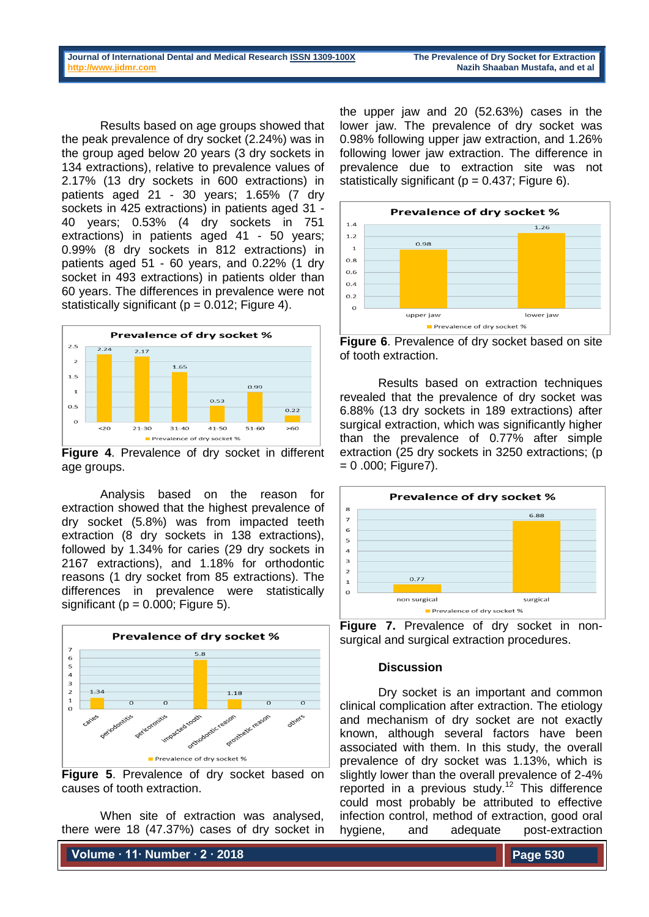Results based on age groups showed that the peak prevalence of dry socket (2.24%) was in the group aged below 20 years (3 dry sockets in 134 extractions), relative to prevalence values of 2.17% (13 dry sockets in 600 extractions) in patients aged 21 - 30 years; 1.65% (7 dry sockets in 425 extractions) in patients aged 31 - 40 years; 0.53% (4 dry sockets in 751 extractions) in patients aged 41 - 50 years; 0.99% (8 dry sockets in 812 extractions) in patients aged 51 - 60 years, and 0.22% (1 dry socket in 493 extractions) in patients older than 60 years. The differences in prevalence were not statistically significant ( $p = 0.012$ ; Figure 4).



**Figure 4**. Prevalence of dry socket in different age groups.

Analysis based on the reason for extraction showed that the highest prevalence of dry socket (5.8%) was from impacted teeth extraction (8 dry sockets in 138 extractions), followed by 1.34% for caries (29 dry sockets in 2167 extractions), and 1.18% for orthodontic reasons (1 dry socket from 85 extractions). The differences in prevalence were statistically significant ( $p = 0.000$ ; Figure 5).



**Figure 5**. Prevalence of dry socket based on causes of tooth extraction.

When site of extraction was analysed, there were 18 (47.37%) cases of dry socket in

**Volume ∙ 11∙ Number ∙ 2 ∙ 2018**

the upper jaw and 20 (52.63%) cases in the lower jaw. The prevalence of dry socket was 0.98% following upper jaw extraction, and 1.26% following lower jaw extraction. The difference in prevalence due to extraction site was not statistically significant ( $p = 0.437$ ; Figure 6).





Results based on extraction techniques revealed that the prevalence of dry socket was 6.88% (13 dry sockets in 189 extractions) after surgical extraction, which was significantly higher than the prevalence of 0.77% after simple extraction (25 dry sockets in 3250 extractions; (p  $= 0.000$ ; Figure 7).





## **Discussion**

Dry socket is an important and common clinical complication after extraction. The etiology and mechanism of dry socket are not exactly known, although several factors have been associated with them. In this study, the overall prevalence of dry socket was 1.13%, which is slightly lower than the overall prevalence of 2-4% reported in a previous study.<sup>12</sup> This difference could most probably be attributed to effective infection control, method of extraction, good oral hygiene, and adequate post-extraction